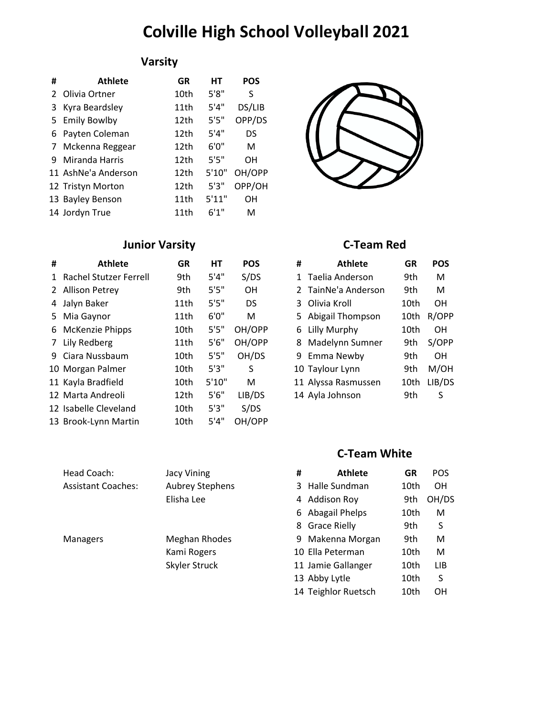## **Colville High School Volleyball 2021**

### **Varsity**

| #           | <b>Athlete</b>      | GR   | HТ     | POS       |
|-------------|---------------------|------|--------|-----------|
|             | 2 Olivia Ortner     | 10th | 5'8''  | S         |
| 3           | Kyra Beardsley      | 11th | 5'4''  | DS/LIB    |
|             | 5 Emily Bowlby      | 12th | 5'5''  | OPP/DS    |
|             | 6 Payten Coleman    | 12th | 5'4"   | DS        |
| $7^{\circ}$ | Mckenna Reggear     | 12th | 6'0''  | м         |
|             | 9 Miranda Harris    | 12th | 5'5''  | OΗ        |
|             | 11 AshNe'a Anderson | 12th | 5'10'' | OH/OPP    |
|             | 12 Tristyn Morton   | 12th | 5'3''  | OPP/OH    |
|             | 13 Bayley Benson    | 11th | 5'11"  | <b>OH</b> |
|             | 14 Jordyn True      | 11th | 6'1''  | м         |



### **Junior Varsity C-Team Red**

| # | <b>Athlete</b>           | <b>GR</b> | HT     | <b>POS</b> | # | <b>Athlete</b>      | <b>GR</b> | <b>POS</b> |
|---|--------------------------|-----------|--------|------------|---|---------------------|-----------|------------|
|   | 1 Rachel Stutzer Ferrell | 9th       | 5'4''  | S/DS       |   | Taelia Anderson     | 9th       | M          |
|   | 2 Allison Petrey         | 9th       | 5'5"   | <b>OH</b>  |   | 2 TainNe'a Anderson | 9th       | M          |
|   | 4 Jalyn Baker            | 11th      | 5'5''  | DS         |   | 3 Olivia Kroll      | 10th      | OΗ         |
|   | 5 Mia Gaynor             | 11th      | 6'0''  | М          |   | 5 Abigail Thompson  | 10th      | R/OPP      |
|   | 6 McKenzie Phipps        | 10th      | 5'5''  | OH/OPP     |   | 6 Lilly Murphy      | 10th      | <b>OH</b>  |
|   | 7 Lily Redberg           | 11th      | 5'6''  | OH/OPP     |   | 8 Madelynn Sumner   | 9th       | S/OPP      |
|   | 9 Ciara Nussbaum         | 10th      | 5'5''  | OH/DS      |   | 9 Emma Newby        | 9th       | <b>OH</b>  |
|   | 10 Morgan Palmer         | 10th      | 5'3''  | S          |   | 10 Taylour Lynn     | 9th       | M/OH       |
|   | 11 Kayla Bradfield       | 10th      | 5'10'' | М          |   | 11 Alyssa Rasmussen | 10th      | LIB/DS     |
|   | 12 Marta Andreoli        | 12th      | 5'6''  | LIB/DS     |   | 14 Ayla Johnson     | 9th       | S          |
|   | 12 Isabelle Cleveland    | 10th      | 5'3''  | S/DS       |   |                     |           |            |
|   | 13 Brook-Lynn Martin     | 10th      | 5'4''  | OH/OPP     |   |                     |           |            |

| Head Coach:               | <b>Jacy Vining</b>     | # | <b>Athlete</b>     | GR   | <b>POS</b> |
|---------------------------|------------------------|---|--------------------|------|------------|
| <b>Assistant Coaches:</b> | <b>Aubrey Stephens</b> |   | 3 Halle Sundman    | 10th | OH.        |
|                           | Elisha Lee             |   | 4 Addison Roy      | 9th  | OH/D       |
|                           |                        |   | 6 Abagail Phelps   | 10th | M          |
|                           |                        |   | 8 Grace Rielly     | 9th  |            |
| <b>Managers</b>           | Meghan Rhodes          |   | 9 Makenna Morgan   | 9th  | М          |
|                           | Kami Rogers            |   | 10 Ella Peterman   | 10th | м          |
|                           | Skyler Struck          |   | 11 Jamie Gallanger | 10th | LIB.       |

| # | <b>Athlete</b>      | GR   | POS    |
|---|---------------------|------|--------|
|   | 1 Taelia Anderson   | 9th  | м      |
|   | 2 TainNe'a Anderson | 9th  | м      |
| 3 | Olivia Kroll        | 10th | OН     |
|   | 5 Abigail Thompson  | 10th | R/OPP  |
|   | 6 Lilly Murphy      | 10th | OH     |
| 8 | Madelynn Sumner     | 9th  | S/OPP  |
|   | 9 Emma Newby        | 9th  | OH     |
|   | 10 Taylour Lynn     | 9th  | M/OH   |
|   | 11 Alyssa Rasmussen | 10th | LIB/DS |
|   | 14 Ayla Johnson     | 9th  | S      |

### **C-Team White**

| <b>Jacy Vining</b>     | # | <b>Athlete</b>      | GR   | <b>POS</b> |
|------------------------|---|---------------------|------|------------|
| <b>Aubrey Stephens</b> |   | 3 Halle Sundman     | 10th | OΗ         |
| Elisha Lee             |   | 4 Addison Roy       | 9th  | OH/DS      |
|                        |   | 6 Abagail Phelps    | 10th | M          |
|                        |   | 8 Grace Rielly      | 9th  | S          |
| Meghan Rhodes          |   | 9 Makenna Morgan    | 9th  | M          |
| Kami Rogers            |   | 10 Ella Peterman    | 10th | M          |
| Skyler Struck          |   | 11 Jamie Gallanger  | 10th | <b>LIB</b> |
|                        |   | 13 Abby Lytle       | 10th | S          |
|                        |   | 14 Teighlor Ruetsch | 10th | OΗ         |
|                        |   |                     |      |            |